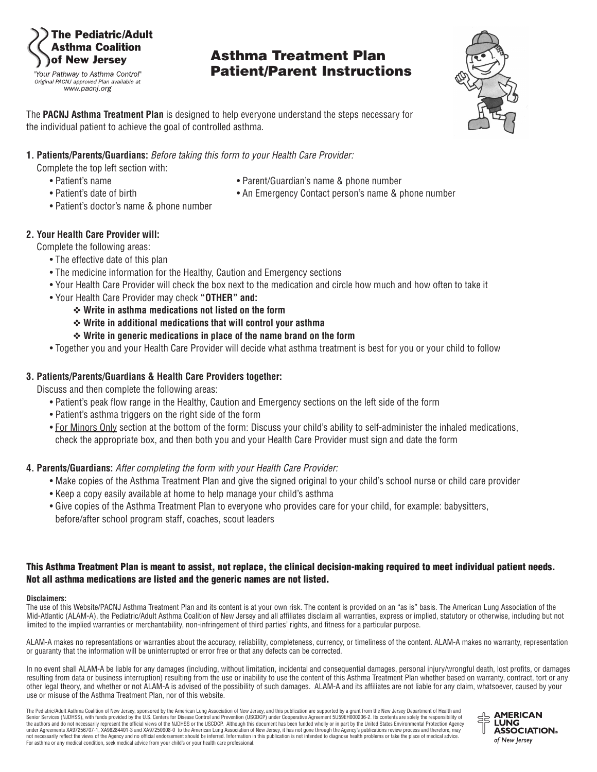### he Pediatric/Adult sthma Coalition of New Jersey

"Your Pathway to Asthma Control" Original PACNJ approved Plan available at www.pacni.org

## **Asthma Treatment Plan Patient/Parent Instructions**



The **PACNJ Asthma Treatment Plan** is designed to help everyone understand the steps necessary for the individual patient to achieve the goal of controlled asthma.

#### **1. Patients/Parents/Guardians:** *Before taking this form to your Health Care Provider:*

Complete the top left section with:

- 
- 
- Patient's name **Parent/Guardian's name & phone number Parent/Guardian's name & phone number**
- Patient's date of birth An Emergency Contact person's name & phone number
- Patient's doctor's name & phone number

#### **2. Your Health Care Provider will:**

Complete the following areas:

- The effective date of this plan
- The medicine information for the Healthy, Caution and Emergency sections
- Your Health Care Provider will check the box next to the medication and circle how much and how often to take it
- Your Health Care Provider may check **"OTHER" and:**
	- ❖ **Write in asthma medications not listed on the form**
	- ❖ **Write in additional medications that will control your asthma**
	- ❖ **Write in generic medications in place of the name brand on the form**
- Together you and your Health Care Provider will decide what asthma treatment is best for you or your child to follow

#### **3. Patients/Parents/Guardians & Health Care Providers together:**

Discuss and then complete the following areas:

- Patient's peak flow range in the Healthy, Caution and Emergency sections on the left side of the form
- Patient's asthma triggers on the right side of the form
- For Minors Only section at the bottom of the form: Discuss your child's ability to self-administer the inhaled medications, check the appropriate box, and then both you and your Health Care Provider must sign and date the form

#### **4. Parents/Guardians:** *After completing the form with your Health Care Provider:*

- Make copies of the Asthma Treatment Plan and give the signed original to your child's school nurse or child care provider
- Keep a copy easily available at home to help manage your child's asthma
- Give copies of the Asthma Treatment Plan to everyone who provides care for your child, for example: babysitters, before/after school program staff, coaches, scout leaders

#### This Asthma Treatment Plan is meant to assist, not replace, the clinical decision-making required to meet individual patient needs. **Not all asthma medications are listed and the generic names are not listed.**

#### **Disclaimers:**

The use of this Website/PACNJ Asthma Treatment Plan and its content is at your own risk. The content is provided on an "as is" basis. The American Lung Association of the Mid-Atlantic (ALAM-A), the Pediatric/Adult Asthma Coalition of New Jersey and all affiliates disclaim all warranties, express or implied, statutory or otherwise, including but not limited to the implied warranties or merchantability, non-infringement of third parties' rights, and fitness for a particular purpose.

ALAM-A makes no representations or warranties about the accuracy, reliability, completeness, currency, or timeliness of the content. ALAM-A makes no warranty, representation or guaranty that the information will be uninterrupted or error free or that any defects can be corrected.

In no event shall ALAM-A be liable for any damages (including, without limitation, incidental and consequential damages, personal injury/wrongful death, lost profits, or damages resulting from data or business interruption) resulting from the use or inability to use the content of this Asthma Treatment Plan whether based on warranty, contract, tort or any other legal theory, and whether or not ALAM-A is advised of the possibility of such damages. ALAM-A and its affiliates are not liable for any claim, whatsoever, caused by your use or misuse of the Asthma Treatment Plan, nor of this website.

The Pediatric/Adult Asthma Coalition of New Jersey, sponsored by the American Lung Association of New Jersey, and this publication are supported by a grant from the New Jersey Department of Health and Senior Services (NJDHSS), with funds provided by the U.S. Centers for Disease Control and Prevention (USCDCP) under Cooperative Agreement 5U59EH000206-2. Its contents are solely the responsibility of<br>the authors and do not under Agreements XA97256707-1, XA98284401-3 and XA97250908-0 to the American Lung Association of New Jersey, it has not gone through the Agency's publications review process and therefore, may not necessarily reflect the views of the Agency and no official endorsement should be inferred. Information in this publication is not intended to diagnose health problems or take the place of medical advice. For asthma or any medical condition, seek medical advice from your child's or your health care professional.